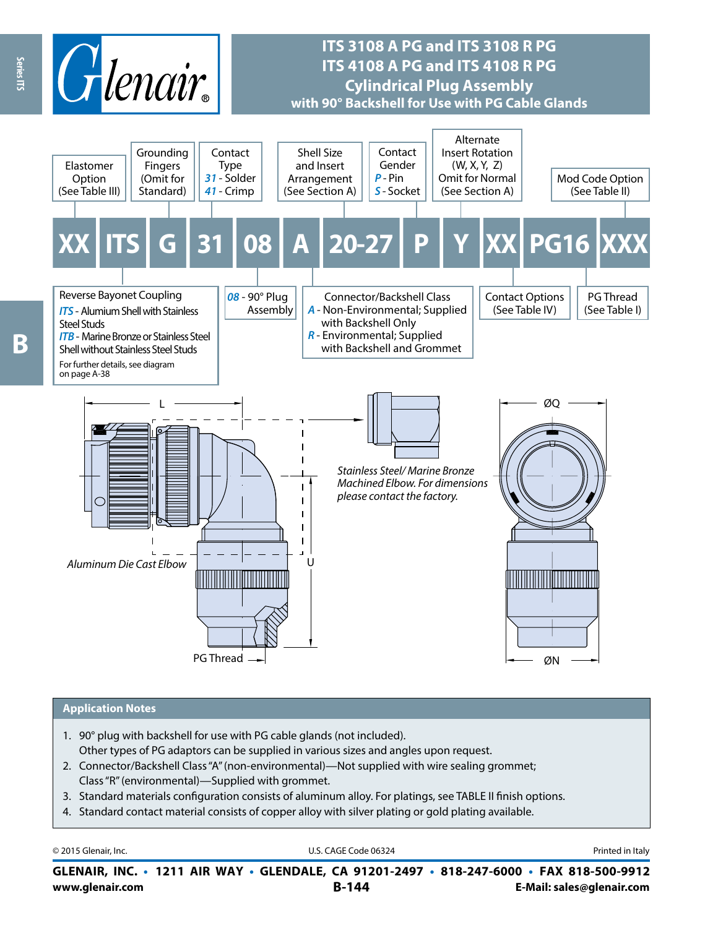

# **ITS 3108 A PG and ITS 3108 R PG ITS 4108 A PG and ITS 4108 R PG Cylindrical Plug Assembly with 90° Backshell for Use with PG Cable Glands**



#### **Application Notes**

- 1. 90° plug with backshell for use with PG cable glands (not included). Other types of PG adaptors can be supplied in various sizes and angles upon request.
- 2. Connector/Backshell Class "A" (non-environmental)—Not supplied with wire sealing grommet; Class "R" (environmental)—Supplied with grommet.
- 3. Standard materials configuration consists of aluminum alloy. For platings, see TABLE II finish options.
- 4. Standard contact material consists of copper alloy with silver plating or gold plating available.

| © 2015 Glenair, Inc. | U.S. CAGE Code 06324                                                                     | Printed in Italy          |
|----------------------|------------------------------------------------------------------------------------------|---------------------------|
|                      | GLENAIR, INC. • 1211 AIR WAY • GLENDALE, CA 91201-2497 • 818-247-6000 • FAX 818-500-9912 |                           |
| www.glenair.com      | <b>B-144</b>                                                                             | E-Mail: sales@glenair.com |

Series ITS

**Beries ITS** B